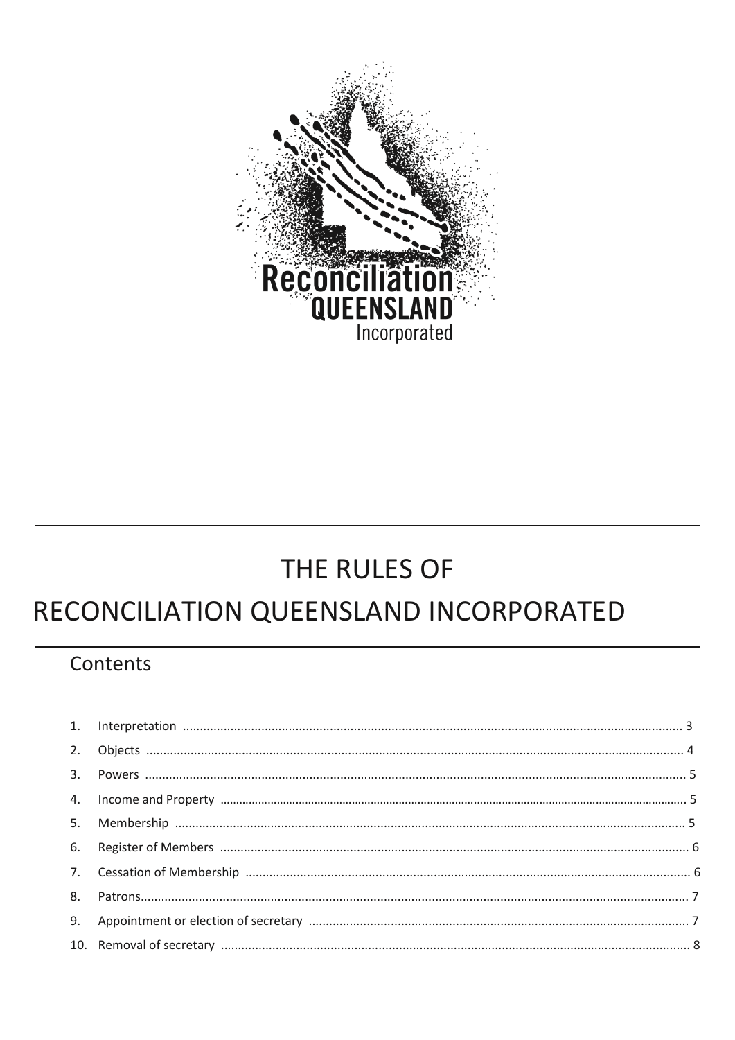

# THE RULES OF

# RECONCILIATION QUEENSLAND INCORPORATED

# Contents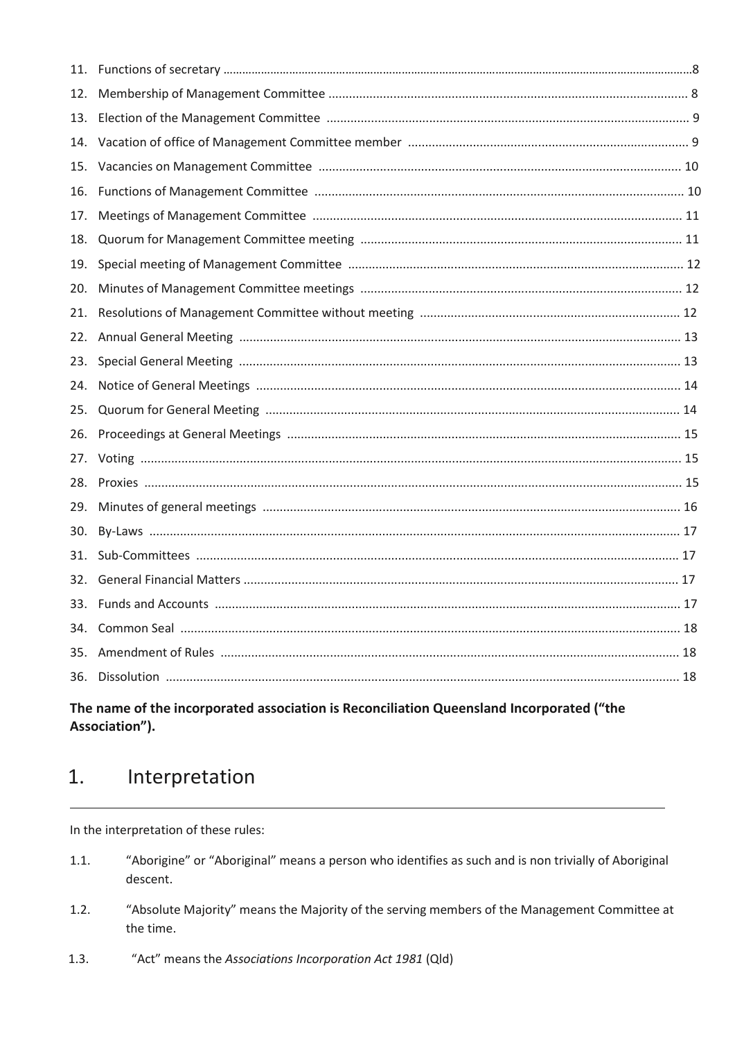| 11. |  |
|-----|--|
| 12. |  |
| 13. |  |
| 14. |  |
| 15. |  |
| 16. |  |
| 17. |  |
| 18. |  |
| 19. |  |
| 20. |  |
| 21. |  |
| 22. |  |
| 23. |  |
| 24. |  |
| 25. |  |
| 26. |  |
| 27. |  |
| 28. |  |
| 29. |  |
| 30. |  |
| 31. |  |
| 32. |  |
| 33. |  |
| 34. |  |
| 35. |  |
| 36. |  |
|     |  |

#### The name of the incorporated association is Reconciliation Queensland Incorporated ("the Association").

#### $1.$ Interpretation

In the interpretation of these rules:

- "Aborigine" or "Aboriginal" means a person who identifies as such and is non trivially of Aboriginal  $1.1.$ descent.
- "Absolute Majority" means the Majority of the serving members of the Management Committee at  $1.2.$ the time.
- "Act" means the Associations Incorporation Act 1981 (Qld)  $1.3.$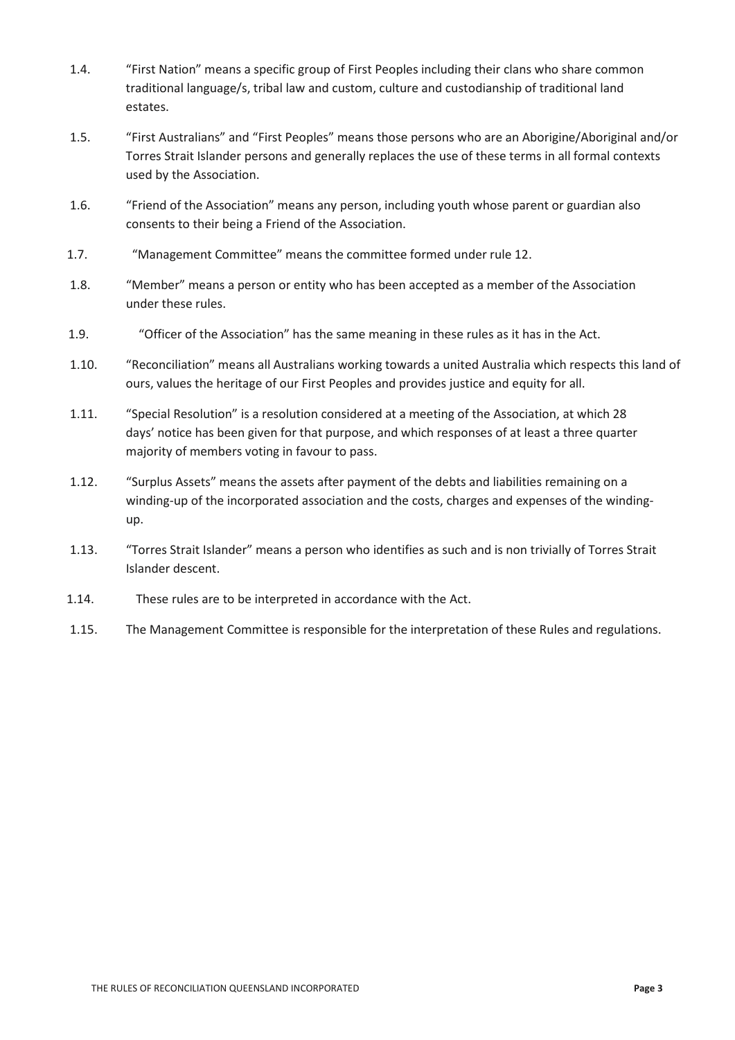- 1.4. "First Nation" means a specific group of First Peoples including their clans who share common traditional language/s, tribal law and custom, culture and custodianship of traditional land estates.
- 1.5. "First Australians" and "First Peoples" means those persons who are an Aborigine/Aboriginal and/or Torres Strait Islander persons and generally replaces the use of these terms in all formal contexts used by the Association.
- 1.6. "Friend of the Association" means any person, including youth whose parent or guardian also consents to their being a Friend of the Association.
- 1.7. "Management Committee" means the committee formed under rule 12.
- 1.8. "Member" means a person or entity who has been accepted as a member of the Association under these rules.
- 1.9. "Officer of the Association" has the same meaning in these rules as it has in the Act.
- 1.10. "Reconciliation" means all Australians working towards a united Australia which respects this land of ours, values the heritage of our First Peoples and provides justice and equity for all.
- 1.11. "Special Resolution" is a resolution considered at a meeting of the Association, at which 28 days' notice has been given for that purpose, and which responses of at least a three quarter majority of members voting in favour to pass.
- 1.12. "Surplus Assets" means the assets after payment of the debts and liabilities remaining on a winding-up of the incorporated association and the costs, charges and expenses of the windingup.
- 1.13. "Torres Strait Islander" means a person who identifies as such and is non trivially of Torres Strait Islander descent.
- 1.14. These rules are to be interpreted in accordance with the Act.
- 1.15. The Management Committee is responsible for the interpretation of these Rules and regulations.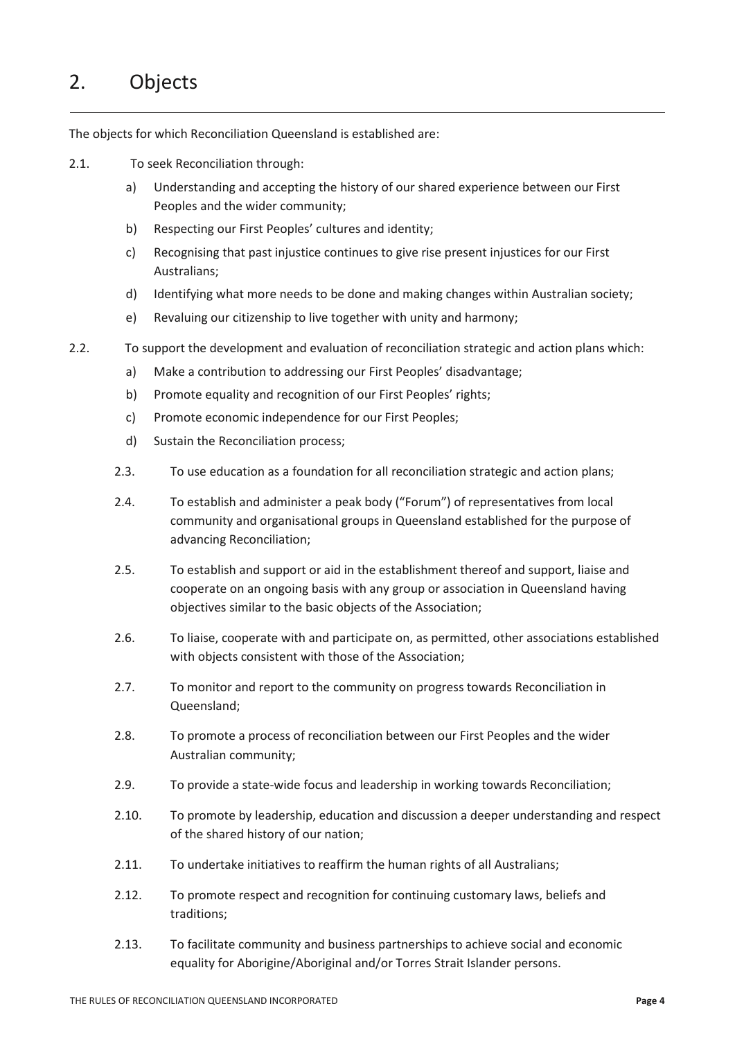# 2. Objects

The objects for which Reconciliation Queensland is established are:

- 2.1. To seek Reconciliation through:
	- a) Understanding and accepting the history of our shared experience between our First Peoples and the wider community;
	- b) Respecting our First Peoples' cultures and identity;
	- c) Recognising that past injustice continues to give rise present injustices for our First Australians;
	- d) Identifying what more needs to be done and making changes within Australian society;
	- e) Revaluing our citizenship to live together with unity and harmony;
- 2.2. To support the development and evaluation of reconciliation strategic and action plans which:
	- a) Make a contribution to addressing our First Peoples' disadvantage;
	- b) Promote equality and recognition of our First Peoples' rights;
	- c) Promote economic independence for our First Peoples;
	- d) Sustain the Reconciliation process;
	- 2.3. To use education as a foundation for all reconciliation strategic and action plans;
	- 2.4. To establish and administer a peak body ("Forum") of representatives from local community and organisational groups in Queensland established for the purpose of advancing Reconciliation;
	- 2.5. To establish and support or aid in the establishment thereof and support, liaise and cooperate on an ongoing basis with any group or association in Queensland having objectives similar to the basic objects of the Association;
	- 2.6. To liaise, cooperate with and participate on, as permitted, other associations established with objects consistent with those of the Association;
	- 2.7. To monitor and report to the community on progress towards Reconciliation in Queensland;
	- 2.8. To promote a process of reconciliation between our First Peoples and the wider Australian community;
	- 2.9. To provide a state-wide focus and leadership in working towards Reconciliation;
	- 2.10. To promote by leadership, education and discussion a deeper understanding and respect of the shared history of our nation;
	- 2.11. To undertake initiatives to reaffirm the human rights of all Australians;
	- 2.12. To promote respect and recognition for continuing customary laws, beliefs and traditions;
	- 2.13. To facilitate community and business partnerships to achieve social and economic equality for Aborigine/Aboriginal and/or Torres Strait Islander persons.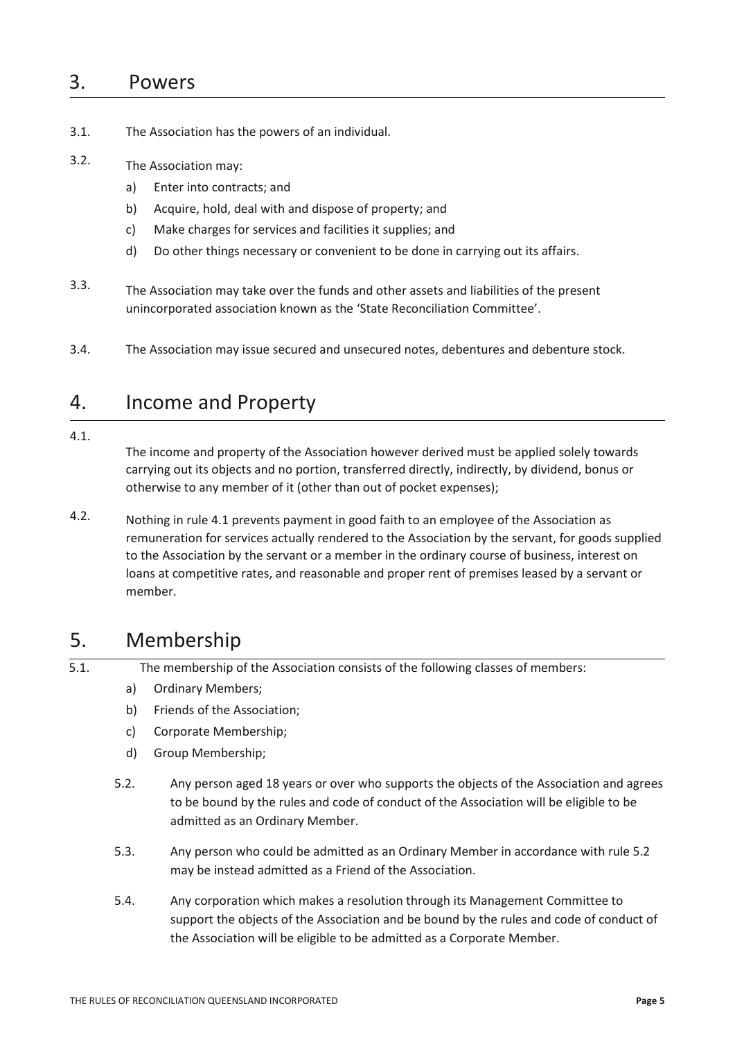### 3. Powers

- 3.1. The Association has the powers of an individual.
- 3.2. The Association may:
	- a) Enter into contracts; and
	- b) Acquire, hold, deal with and dispose of property; and
	- c) Make charges for services and facilities it supplies; and
	- d) Do other things necessary or convenient to be done in carrying out its affairs.
- 3.3. The Association may take over the funds and other assets and liabilities of the present unincorporated association known as the 'State Reconciliation Committee'.
- 3.4. The Association may issue secured and unsecured notes, debentures and debenture stock.

### 4. Income and Property

#### 4.1.

The income and property of the Association however derived must be applied solely towards carrying out its objects and no portion, transferred directly, indirectly, by dividend, bonus or otherwise to any member of it (other than out of pocket expenses);

4.2. Nothing in rule 4.1 prevents payment in good faith to an employee of the Association as remuneration for services actually rendered to the Association by the servant, for goods supplied to the Association by the servant or a member in the ordinary course of business, interest on loans at competitive rates, and reasonable and proper rent of premises leased by a servant or member.

### 5. Membership

5.1. The membership of the Association consists of the following classes of members:

- a) Ordinary Members;
- b) Friends of the Association;
- c) Corporate Membership;
- d) Group Membership;
- 5.2. Any person aged 18 years or over who supports the objects of the Association and agrees to be bound by the rules and code of conduct of the Association will be eligible to be admitted as an Ordinary Member.
- 5.3. Any person who could be admitted as an Ordinary Member in accordance with rule 5.2 may be instead admitted as a Friend of the Association.
- 5.4. Any corporation which makes a resolution through its Management Committee to support the objects of the Association and be bound by the rules and code of conduct of the Association will be eligible to be admitted as a Corporate Member.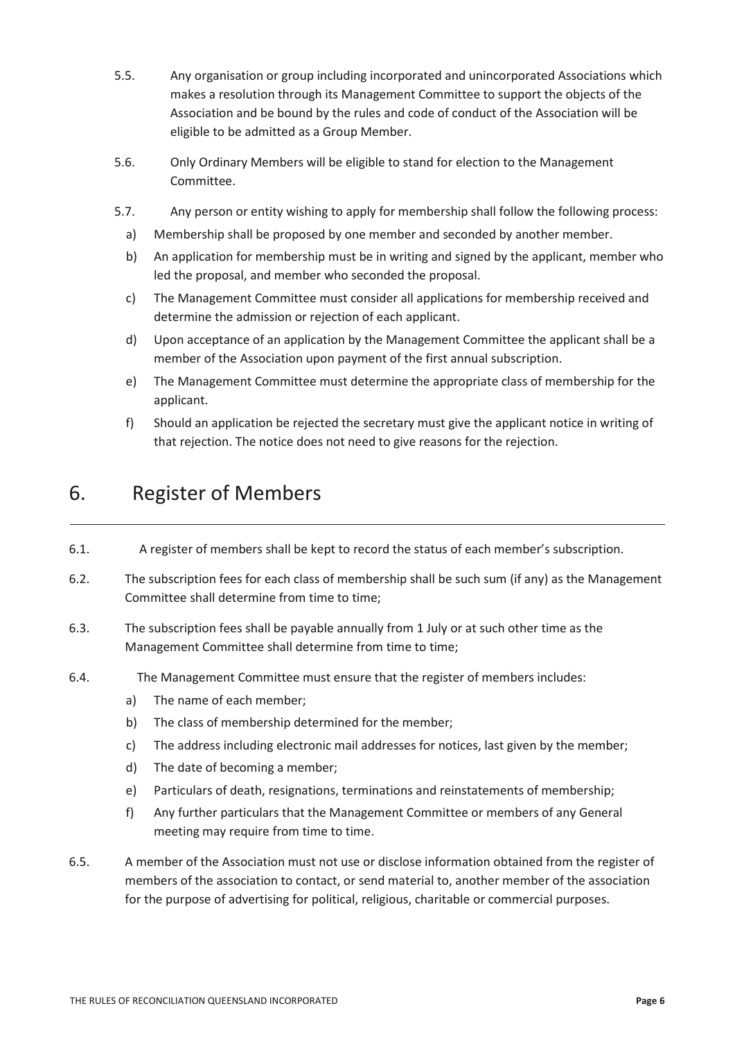- 5.5. Any organisation or group including incorporated and unincorporated Associations which makes a resolution through its Management Committee to support the objects of the Association and be bound by the rules and code of conduct of the Association will be eligible to be admitted as a Group Member.
- 5.6. Only Ordinary Members will be eligible to stand for election to the Management Committee.
- 5.7. Any person or entity wishing to apply for membership shall follow the following process:
	- a) Membership shall be proposed by one member and seconded by another member.
	- b) An application for membership must be in writing and signed by the applicant, member who led the proposal, and member who seconded the proposal.
	- c) The Management Committee must consider all applications for membership received and determine the admission or rejection of each applicant.
	- d) Upon acceptance of an application by the Management Committee the applicant shall be a member of the Association upon payment of the first annual subscription.
	- e) The Management Committee must determine the appropriate class of membership for the applicant.
	- f) Should an application be rejected the secretary must give the applicant notice in writing of that rejection. The notice does not need to give reasons for the rejection.

# 6. Register of Members

- 6.1. A register of members shall be kept to record the status of each member's subscription.
- 6.2. The subscription fees for each class of membership shall be such sum (if any) as the Management Committee shall determine from time to time;
- 6.3. The subscription fees shall be payable annually from 1 July or at such other time as the Management Committee shall determine from time to time;
- 6.4. The Management Committee must ensure that the register of members includes:
	- a) The name of each member;
	- b) The class of membership determined for the member;
	- c) The address including electronic mail addresses for notices, last given by the member;
	- d) The date of becoming a member;
	- e) Particulars of death, resignations, terminations and reinstatements of membership;
	- f) Any further particulars that the Management Committee or members of any General meeting may require from time to time.
- 6.5. A member of the Association must not use or disclose information obtained from the register of members of the association to contact, or send material to, another member of the association for the purpose of advertising for political, religious, charitable or commercial purposes.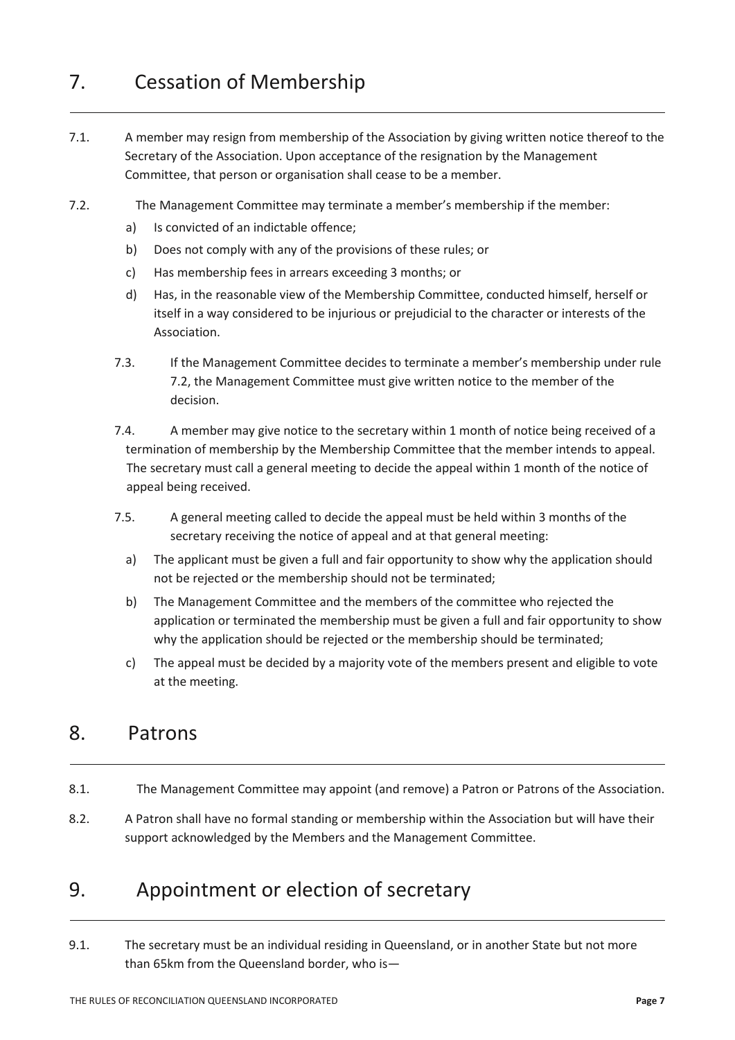# 7. Cessation of Membership

- 7.1. A member may resign from membership of the Association by giving written notice thereof to the Secretary of the Association. Upon acceptance of the resignation by the Management Committee, that person or organisation shall cease to be a member.
- 7.2. The Management Committee may terminate a member's membership if the member:
	- a) Is convicted of an indictable offence;
	- b) Does not comply with any of the provisions of these rules; or
	- c) Has membership fees in arrears exceeding 3 months; or
	- d) Has, in the reasonable view of the Membership Committee, conducted himself, herself or itself in a way considered to be injurious or prejudicial to the character or interests of the Association.
	- 7.3. If the Management Committee decides to terminate a member's membership under rule 7.2, the Management Committee must give written notice to the member of the decision.
	- 7.4. A member may give notice to the secretary within 1 month of notice being received of a termination of membership by the Membership Committee that the member intends to appeal. The secretary must call a general meeting to decide the appeal within 1 month of the notice of appeal being received.
	- 7.5. A general meeting called to decide the appeal must be held within 3 months of the secretary receiving the notice of appeal and at that general meeting:
		- a) The applicant must be given a full and fair opportunity to show why the application should not be rejected or the membership should not be terminated;
		- b) The Management Committee and the members of the committee who rejected the application or terminated the membership must be given a full and fair opportunity to show why the application should be rejected or the membership should be terminated;
		- c) The appeal must be decided by a majority vote of the members present and eligible to vote at the meeting.

### 8. Patrons

- 8.1. The Management Committee may appoint (and remove) a Patron or Patrons of the Association.
- 8.2. A Patron shall have no formal standing or membership within the Association but will have their support acknowledged by the Members and the Management Committee.

# 9. Appointment or election of secretary

9.1. The secretary must be an individual residing in Queensland, or in another State but not more than 65km from the Queensland border, who is—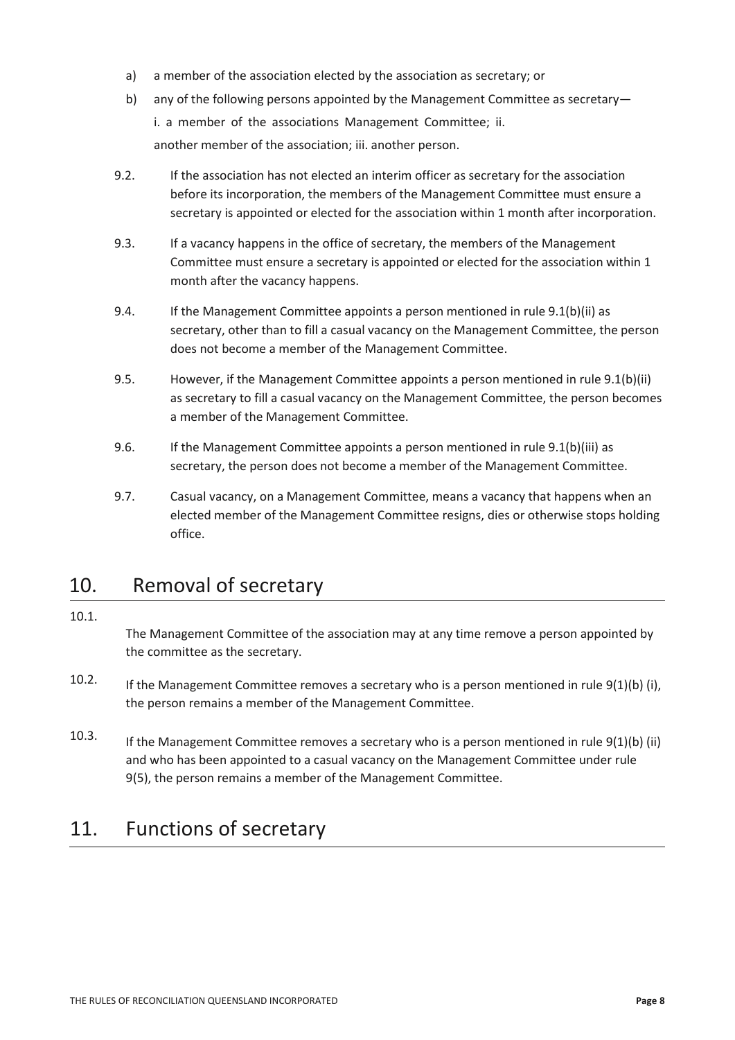- a) a member of the association elected by the association as secretary; or
- b) any of the following persons appointed by the Management Committee as secretary i. a member of the associations Management Committee; ii. another member of the association; iii. another person.
- 9.2. If the association has not elected an interim officer as secretary for the association before its incorporation, the members of the Management Committee must ensure a secretary is appointed or elected for the association within 1 month after incorporation.
- 9.3. If a vacancy happens in the office of secretary, the members of the Management Committee must ensure a secretary is appointed or elected for the association within 1 month after the vacancy happens.
- 9.4. If the Management Committee appoints a person mentioned in rule 9.1(b)(ii) as secretary, other than to fill a casual vacancy on the Management Committee, the person does not become a member of the Management Committee.
- 9.5. However, if the Management Committee appoints a person mentioned in rule 9.1(b)(ii) as secretary to fill a casual vacancy on the Management Committee, the person becomes a member of the Management Committee.
- 9.6. If the Management Committee appoints a person mentioned in rule 9.1(b)(iii) as secretary, the person does not become a member of the Management Committee.
- 9.7. Casual vacancy, on a Management Committee, means a vacancy that happens when an elected member of the Management Committee resigns, dies or otherwise stops holding office.

# 10. Removal of secretary

#### 10.1.

The Management Committee of the association may at any time remove a person appointed by the committee as the secretary.

- 10.2. If the Management Committee removes a secretary who is a person mentioned in rule 9(1)(b) (i), the person remains a member of the Management Committee.
- 10.3. If the Management Committee removes a secretary who is a person mentioned in rule 9(1)(b) (ii) and who has been appointed to a casual vacancy on the Management Committee under rule 9(5), the person remains a member of the Management Committee.

# 11. Functions of secretary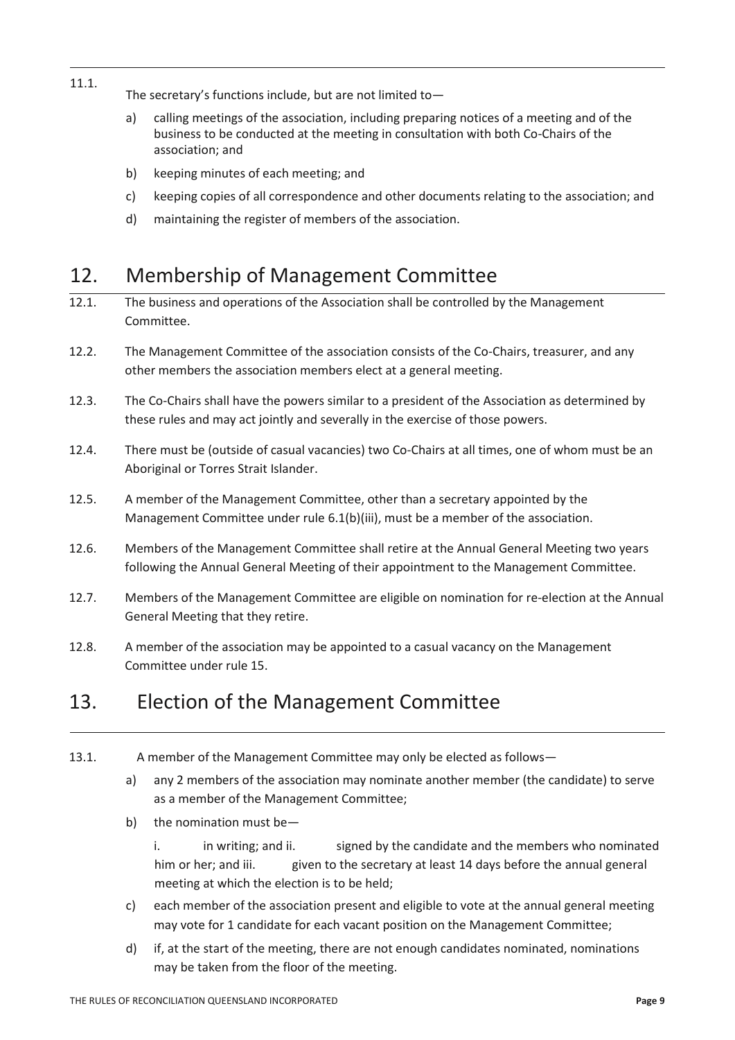- 11.1. The secretary's functions include, but are not limited to
	- a) calling meetings of the association, including preparing notices of a meeting and of the business to be conducted at the meeting in consultation with both Co-Chairs of the association; and
	- b) keeping minutes of each meeting; and
	- c) keeping copies of all correspondence and other documents relating to the association; and
	- d) maintaining the register of members of the association.

# 12. Membership of Management Committee

- 12.1. The business and operations of the Association shall be controlled by the Management Committee.
- 12.2. The Management Committee of the association consists of the Co-Chairs, treasurer, and any other members the association members elect at a general meeting.
- 12.3. The Co-Chairs shall have the powers similar to a president of the Association as determined by these rules and may act jointly and severally in the exercise of those powers.
- 12.4. There must be (outside of casual vacancies) two Co-Chairs at all times, one of whom must be an Aboriginal or Torres Strait Islander.
- 12.5. A member of the Management Committee, other than a secretary appointed by the Management Committee under rule 6.1(b)(iii), must be a member of the association.
- 12.6. Members of the Management Committee shall retire at the Annual General Meeting two years following the Annual General Meeting of their appointment to the Management Committee.
- 12.7. Members of the Management Committee are eligible on nomination for re-election at the Annual General Meeting that they retire.
- 12.8. A member of the association may be appointed to a casual vacancy on the Management Committee under rule 15.

### 13. Election of the Management Committee

- 13.1. A member of the Management Committee may only be elected as follows
	- a) any 2 members of the association may nominate another member (the candidate) to serve as a member of the Management Committee;
	- b) the nomination must be
		- i. in writing; and ii. signed by the candidate and the members who nominated him or her; and iii. given to the secretary at least 14 days before the annual general meeting at which the election is to be held;
	- c) each member of the association present and eligible to vote at the annual general meeting may vote for 1 candidate for each vacant position on the Management Committee;
	- d) if, at the start of the meeting, there are not enough candidates nominated, nominations may be taken from the floor of the meeting.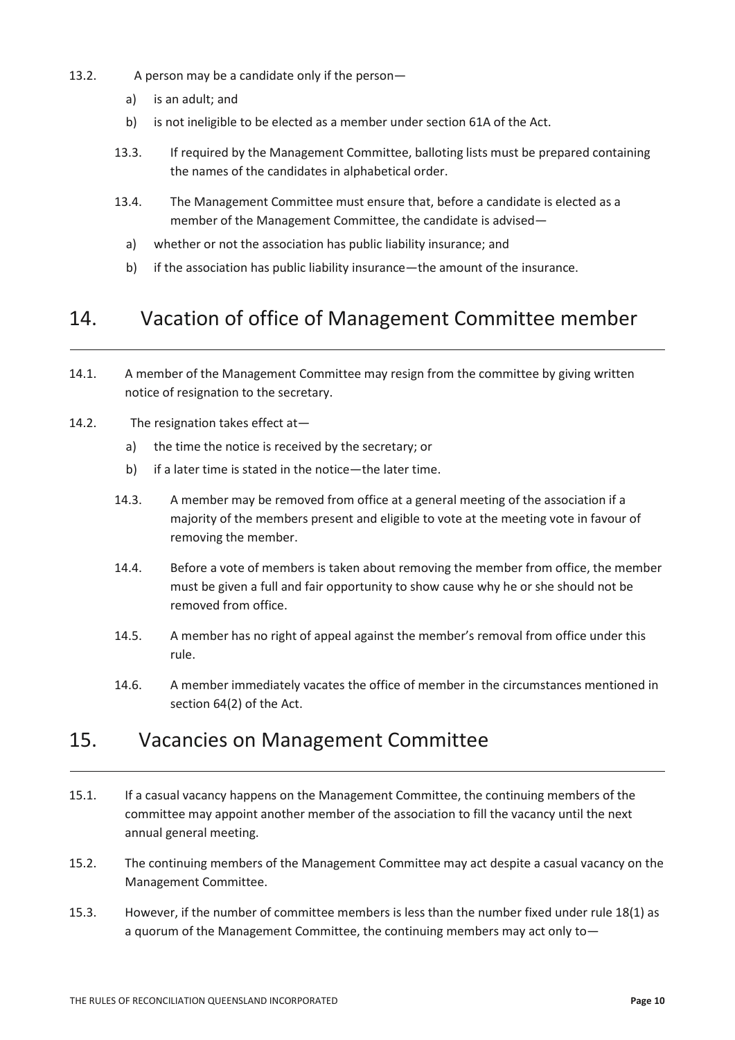- 13.2. A person may be a candidate only if the person
	- a) is an adult; and
	- b) is not ineligible to be elected as a member under section 61A of the Act.
	- 13.3. If required by the Management Committee, balloting lists must be prepared containing the names of the candidates in alphabetical order.
	- 13.4. The Management Committee must ensure that, before a candidate is elected as a member of the Management Committee, the candidate is advised
		- a) whether or not the association has public liability insurance; and
		- b) if the association has public liability insurance—the amount of the insurance.

# 14. Vacation of office of Management Committee member

- 14.1. A member of the Management Committee may resign from the committee by giving written notice of resignation to the secretary.
- 14.2. The resignation takes effect at
	- a) the time the notice is received by the secretary; or
	- b) if a later time is stated in the notice—the later time.
	- 14.3. A member may be removed from office at a general meeting of the association if a majority of the members present and eligible to vote at the meeting vote in favour of removing the member.
	- 14.4. Before a vote of members is taken about removing the member from office, the member must be given a full and fair opportunity to show cause why he or she should not be removed from office.
	- 14.5. A member has no right of appeal against the member's removal from office under this rule.
	- 14.6. A member immediately vacates the office of member in the circumstances mentioned in section 64(2) of the Act.

### 15. Vacancies on Management Committee

- 15.1. If a casual vacancy happens on the Management Committee, the continuing members of the committee may appoint another member of the association to fill the vacancy until the next annual general meeting.
- 15.2. The continuing members of the Management Committee may act despite a casual vacancy on the Management Committee.
- 15.3. However, if the number of committee members is less than the number fixed under rule 18(1) as a quorum of the Management Committee, the continuing members may act only to—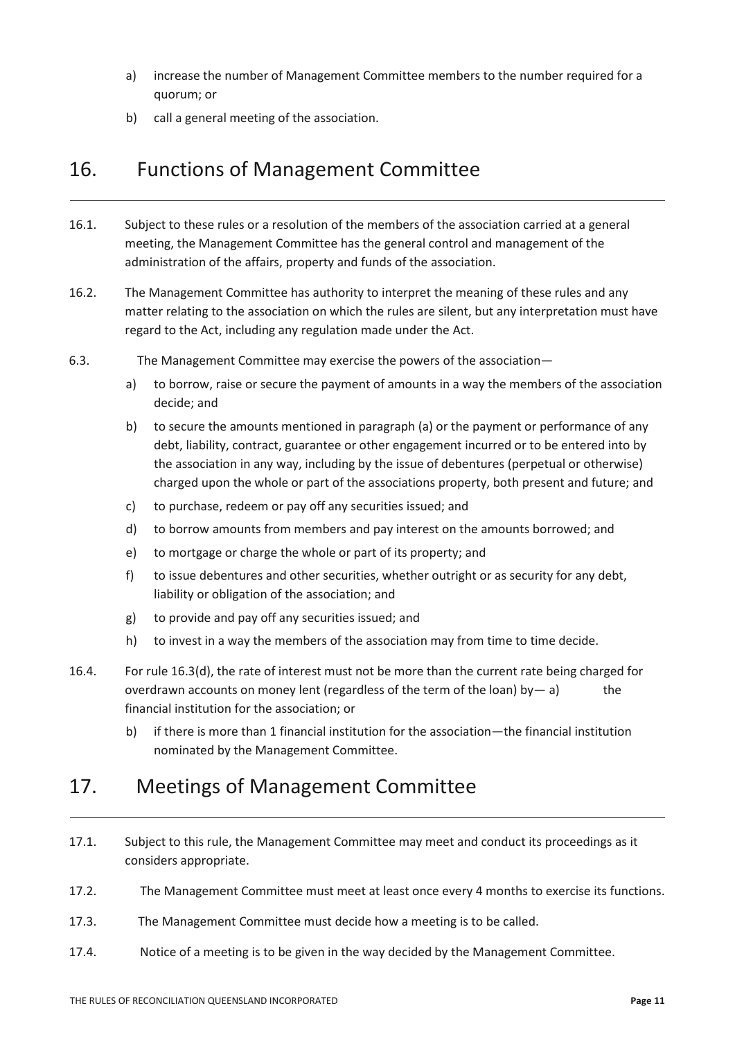- a) increase the number of Management Committee members to the number required for a quorum; or
- b) call a general meeting of the association.

### 16. Functions of Management Committee

- 16.1. Subject to these rules or a resolution of the members of the association carried at a general meeting, the Management Committee has the general control and management of the administration of the affairs, property and funds of the association.
- 16.2. The Management Committee has authority to interpret the meaning of these rules and any matter relating to the association on which the rules are silent, but any interpretation must have regard to the Act, including any regulation made under the Act.
- 6.3. The Management Committee may exercise the powers of the association
	- a) to borrow, raise or secure the payment of amounts in a way the members of the association decide; and
	- b) to secure the amounts mentioned in paragraph (a) or the payment or performance of any debt, liability, contract, guarantee or other engagement incurred or to be entered into by the association in any way, including by the issue of debentures (perpetual or otherwise) charged upon the whole or part of the associations property, both present and future; and
	- c) to purchase, redeem or pay off any securities issued; and
	- d) to borrow amounts from members and pay interest on the amounts borrowed; and
	- e) to mortgage or charge the whole or part of its property; and
	- f) to issue debentures and other securities, whether outright or as security for any debt, liability or obligation of the association; and
	- g) to provide and pay off any securities issued; and
	- h) to invest in a way the members of the association may from time to time decide.
- 16.4. For rule 16.3(d), the rate of interest must not be more than the current rate being charged for overdrawn accounts on money lent (regardless of the term of the loan) by— a) the financial institution for the association; or
	- b) if there is more than 1 financial institution for the association—the financial institution nominated by the Management Committee.

# 17. Meetings of Management Committee

- 17.1. Subject to this rule, the Management Committee may meet and conduct its proceedings as it considers appropriate.
- 17.2. The Management Committee must meet at least once every 4 months to exercise its functions.
- 17.3. The Management Committee must decide how a meeting is to be called.
- 17.4. Notice of a meeting is to be given in the way decided by the Management Committee.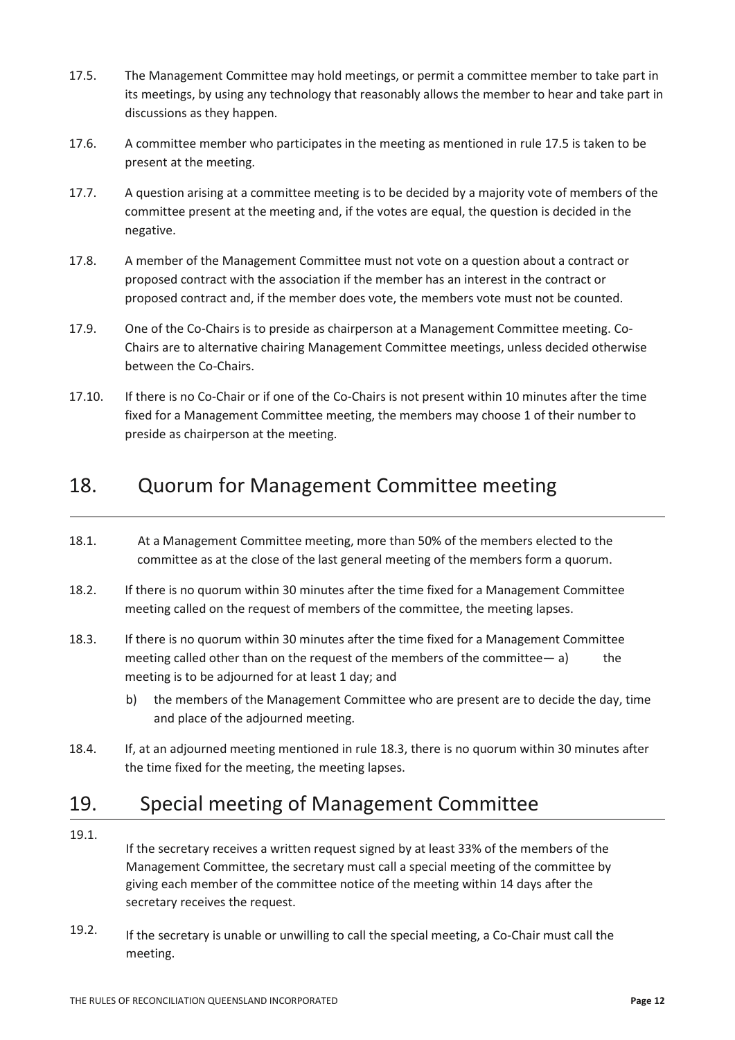- 17.5. The Management Committee may hold meetings, or permit a committee member to take part in its meetings, by using any technology that reasonably allows the member to hear and take part in discussions as they happen.
- 17.6. A committee member who participates in the meeting as mentioned in rule 17.5 is taken to be present at the meeting.
- 17.7. A question arising at a committee meeting is to be decided by a majority vote of members of the committee present at the meeting and, if the votes are equal, the question is decided in the negative.
- 17.8. A member of the Management Committee must not vote on a question about a contract or proposed contract with the association if the member has an interest in the contract or proposed contract and, if the member does vote, the members vote must not be counted.
- 17.9. One of the Co-Chairs is to preside as chairperson at a Management Committee meeting. Co-Chairs are to alternative chairing Management Committee meetings, unless decided otherwise between the Co-Chairs.
- 17.10. If there is no Co-Chair or if one of the Co-Chairs is not present within 10 minutes after the time fixed for a Management Committee meeting, the members may choose 1 of their number to preside as chairperson at the meeting.

# 18. Quorum for Management Committee meeting

- 18.1. At a Management Committee meeting, more than 50% of the members elected to the committee as at the close of the last general meeting of the members form a quorum.
- 18.2. If there is no quorum within 30 minutes after the time fixed for a Management Committee meeting called on the request of members of the committee, the meeting lapses.
- 18.3. If there is no quorum within 30 minutes after the time fixed for a Management Committee meeting called other than on the request of the members of the committee  $-$  a) the meeting is to be adjourned for at least 1 day; and
	- b) the members of the Management Committee who are present are to decide the day, time and place of the adjourned meeting.
- 18.4. If, at an adjourned meeting mentioned in rule 18.3, there is no quorum within 30 minutes after the time fixed for the meeting, the meeting lapses.

# 19. Special meeting of Management Committee

19.1.

If the secretary receives a written request signed by at least 33% of the members of the Management Committee, the secretary must call a special meeting of the committee by giving each member of the committee notice of the meeting within 14 days after the secretary receives the request.

19.2. If the secretary is unable or unwilling to call the special meeting, a Co-Chair must call the meeting.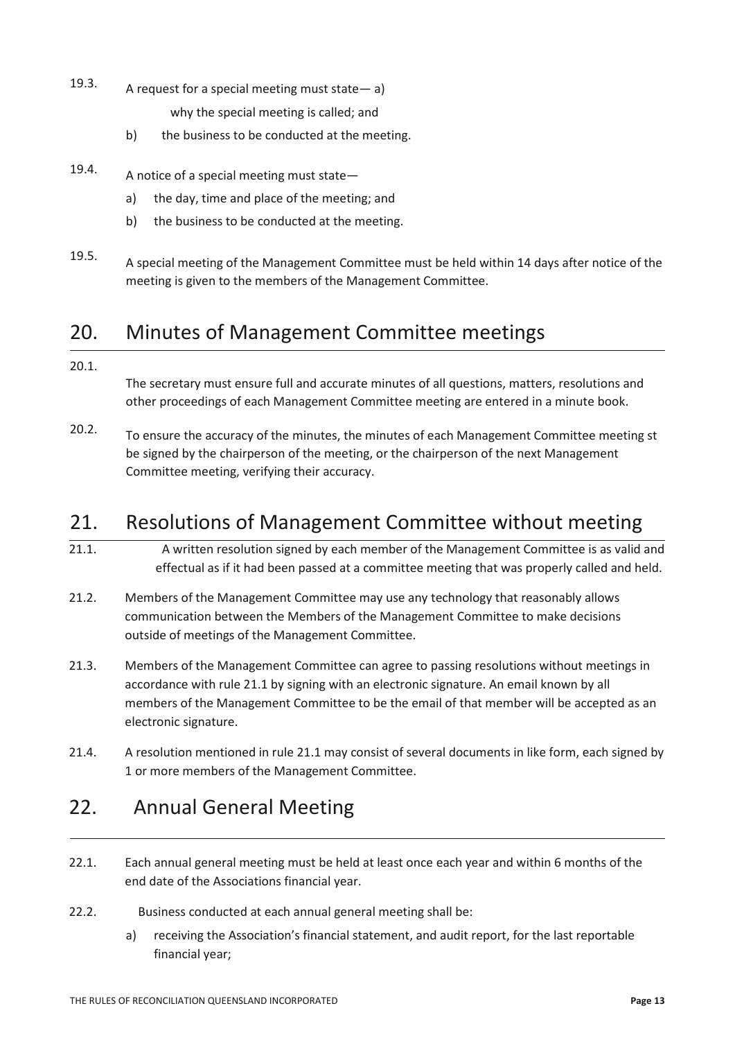- 19.3. A request for a special meeting must state— a) why the special meeting is called; and
	- b) the business to be conducted at the meeting.
- 19.4. A notice of a special meeting must state
	- a) the day, time and place of the meeting; and
	- b) the business to be conducted at the meeting.
- 19.5. A special meeting of the Management Committee must be held within 14 days after notice of the meeting is given to the members of the Management Committee.

### 20. Minutes of Management Committee meetings

#### 20.1.

The secretary must ensure full and accurate minutes of all questions, matters, resolutions and other proceedings of each Management Committee meeting are entered in a minute book.

20.2. To ensure the accuracy of the minutes, the minutes of each Management Committee meeting st be signed by the chairperson of the meeting, or the chairperson of the next Management Committee meeting, verifying their accuracy.

### 21. Resolutions of Management Committee without meeting

- 21.1. A written resolution signed by each member of the Management Committee is as valid and effectual as if it had been passed at a committee meeting that was properly called and held.
- 21.2. Members of the Management Committee may use any technology that reasonably allows communication between the Members of the Management Committee to make decisions outside of meetings of the Management Committee.
- 21.3. Members of the Management Committee can agree to passing resolutions without meetings in accordance with rule 21.1 by signing with an electronic signature. An email known by all members of the Management Committee to be the email of that member will be accepted as an electronic signature.
- 21.4. A resolution mentioned in rule 21.1 may consist of several documents in like form, each signed by 1 or more members of the Management Committee.

# 22. Annual General Meeting

- 22.1. Each annual general meeting must be held at least once each year and within 6 months of the end date of the Associations financial year.
- 22.2. Business conducted at each annual general meeting shall be:
	- a) receiving the Association's financial statement, and audit report, for the last reportable financial year;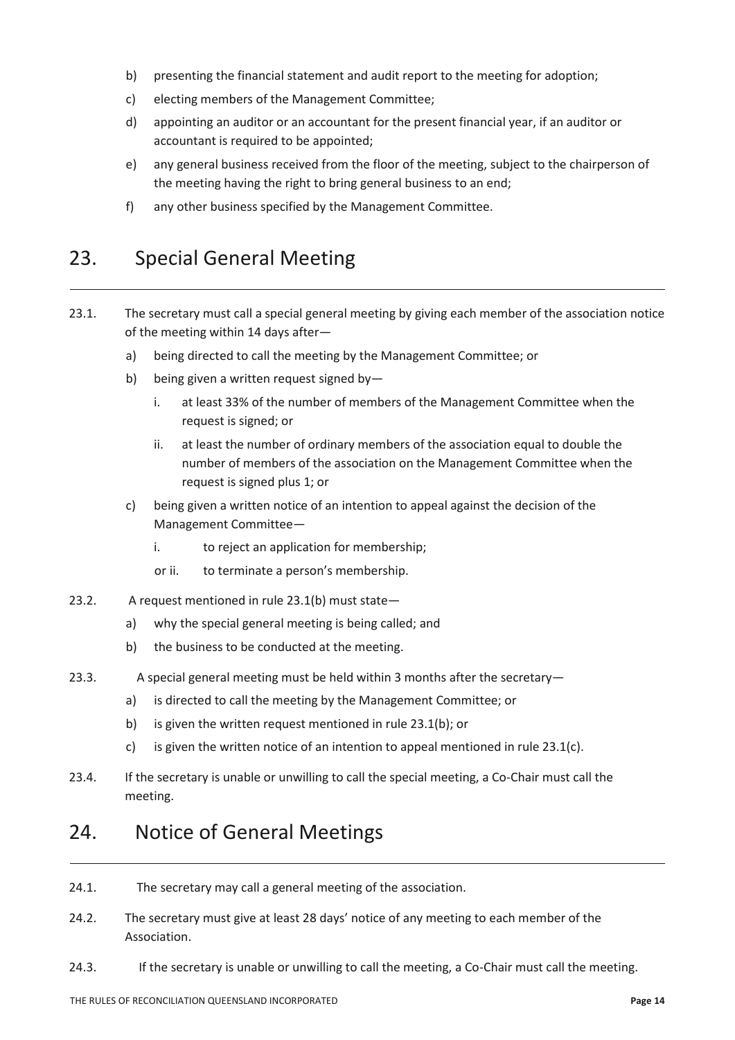- b) presenting the financial statement and audit report to the meeting for adoption;
- c) electing members of the Management Committee;
- d) appointing an auditor or an accountant for the present financial year, if an auditor or accountant is required to be appointed;
- e) any general business received from the floor of the meeting, subject to the chairperson of the meeting having the right to bring general business to an end;
- f) any other business specified by the Management Committee.

### 23. Special General Meeting

- 23.1. The secretary must call a special general meeting by giving each member of the association notice of the meeting within 14 days after
	- a) being directed to call the meeting by the Management Committee; or
	- b) being given a written request signed by
		- i. at least 33% of the number of members of the Management Committee when the request is signed; or
		- ii. at least the number of ordinary members of the association equal to double the number of members of the association on the Management Committee when the request is signed plus 1; or
	- c) being given a written notice of an intention to appeal against the decision of the Management Committee
		- i. to reject an application for membership;
		- or ii. to terminate a person's membership.
- 23.2. A request mentioned in rule 23.1(b) must state
	- a) why the special general meeting is being called; and
	- b) the business to be conducted at the meeting.
- 23.3. A special general meeting must be held within 3 months after the secretary
	- a) is directed to call the meeting by the Management Committee; or
	- b) is given the written request mentioned in rule 23.1(b); or
	- c) is given the written notice of an intention to appeal mentioned in rule 23.1(c).
- 23.4. If the secretary is unable or unwilling to call the special meeting, a Co-Chair must call the meeting.

### 24. Notice of General Meetings

- 24.1. The secretary may call a general meeting of the association.
- 24.2. The secretary must give at least 28 days' notice of any meeting to each member of the Association.
- 24.3. If the secretary is unable or unwilling to call the meeting, a Co-Chair must call the meeting.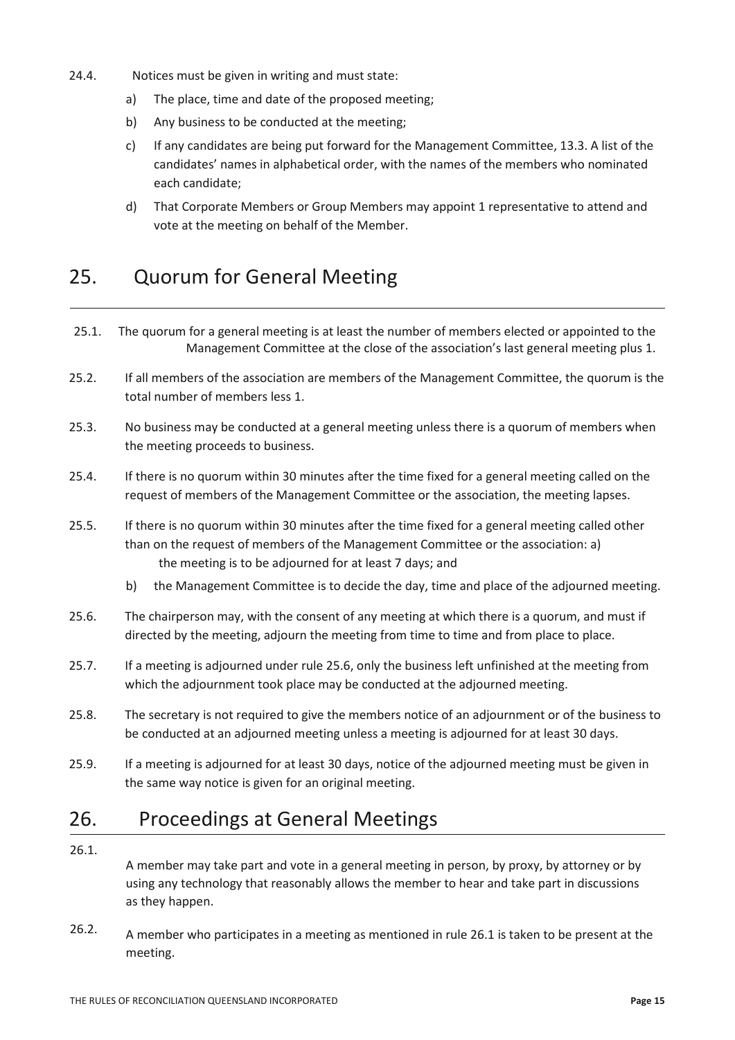- 24.4. Notices must be given in writing and must state:
	- a) The place, time and date of the proposed meeting;
	- b) Any business to be conducted at the meeting;
	- c) If any candidates are being put forward for the Management Committee, 13.3. A list of the candidates' names in alphabetical order, with the names of the members who nominated each candidate;
	- d) That Corporate Members or Group Members may appoint 1 representative to attend and vote at the meeting on behalf of the Member.

## 25. Quorum for General Meeting

- 25.1. The quorum for a general meeting is at least the number of members elected or appointed to the Management Committee at the close of the association's last general meeting plus 1.
- 25.2. If all members of the association are members of the Management Committee, the quorum is the total number of members less 1.
- 25.3. No business may be conducted at a general meeting unless there is a quorum of members when the meeting proceeds to business.
- 25.4. If there is no quorum within 30 minutes after the time fixed for a general meeting called on the request of members of the Management Committee or the association, the meeting lapses.
- 25.5. If there is no quorum within 30 minutes after the time fixed for a general meeting called other than on the request of members of the Management Committee or the association: a) the meeting is to be adjourned for at least 7 days; and
	- b) the Management Committee is to decide the day, time and place of the adjourned meeting.
- 25.6. The chairperson may, with the consent of any meeting at which there is a quorum, and must if directed by the meeting, adjourn the meeting from time to time and from place to place.
- 25.7. If a meeting is adjourned under rule 25.6, only the business left unfinished at the meeting from which the adjournment took place may be conducted at the adjourned meeting.
- 25.8. The secretary is not required to give the members notice of an adjournment or of the business to be conducted at an adjourned meeting unless a meeting is adjourned for at least 30 days.
- 25.9. If a meeting is adjourned for at least 30 days, notice of the adjourned meeting must be given in the same way notice is given for an original meeting.

### 26. Proceedings at General Meetings

26.1.

A member may take part and vote in a general meeting in person, by proxy, by attorney or by using any technology that reasonably allows the member to hear and take part in discussions as they happen.

26.2. A member who participates in a meeting as mentioned in rule 26.1 is taken to be present at the meeting.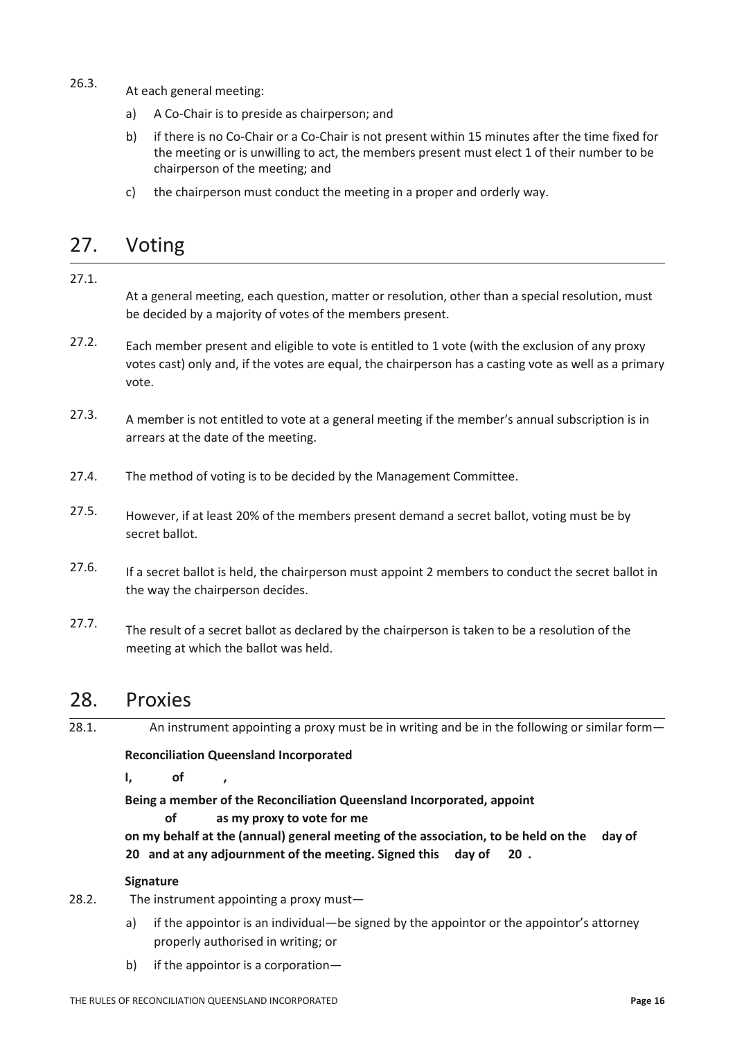- 26.3. At each general meeting:
	- a) A Co-Chair is to preside as chairperson; and
	- b) if there is no Co-Chair or a Co-Chair is not present within 15 minutes after the time fixed for the meeting or is unwilling to act, the members present must elect 1 of their number to be chairperson of the meeting; and
	- c) the chairperson must conduct the meeting in a proper and orderly way.

## 27. Voting

#### 27.1.

At a general meeting, each question, matter or resolution, other than a special resolution, must be decided by a majority of votes of the members present.

- 27.2. Each member present and eligible to vote is entitled to 1 vote (with the exclusion of any proxy votes cast) only and, if the votes are equal, the chairperson has a casting vote as well as a primary vote.
- 27.3. A member is not entitled to vote at a general meeting if the member's annual subscription is in arrears at the date of the meeting.
- 27.4. The method of voting is to be decided by the Management Committee.
- 27.5. However, if at least 20% of the members present demand a secret ballot, voting must be by secret ballot.
- 27.6. If a secret ballot is held, the chairperson must appoint 2 members to conduct the secret ballot in the way the chairperson decides.
- 27.7. The result of a secret ballot as declared by the chairperson is taken to be a resolution of the meeting at which the ballot was held.

### 28. Proxies

28.1. An instrument appointing a proxy must be in writing and be in the following or similar form-

**Reconciliation Queensland Incorporated**

**I, of ,** 

**Being a member of the Reconciliation Queensland Incorporated, appoint of as my proxy to vote for me** 

**on my behalf at the (annual) general meeting of the association, to be held on the day of 20 and at any adjournment of the meeting. Signed this day of 20 .**

#### **Signature**

- 28.2. The instrument appointing a proxy must
	- a) if the appointor is an individual—be signed by the appointor or the appointor's attorney properly authorised in writing; or
	- b) if the appointor is a corporation—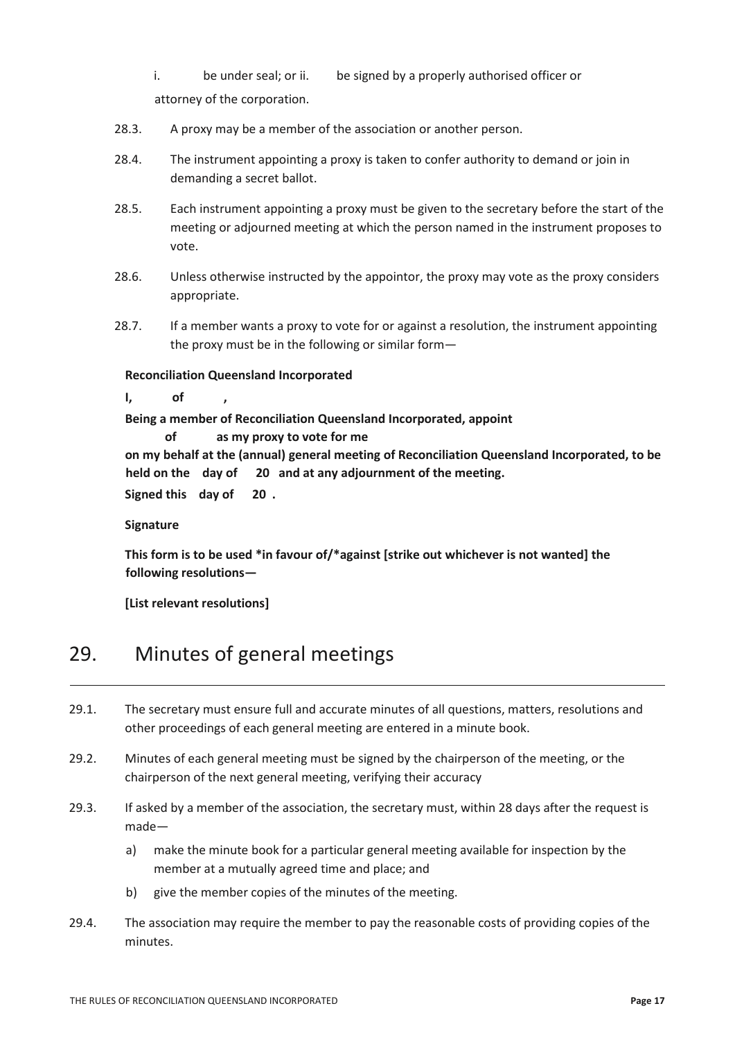i. be under seal; or ii. be signed by a properly authorised officer or attorney of the corporation.

- 28.3. A proxy may be a member of the association or another person.
- 28.4. The instrument appointing a proxy is taken to confer authority to demand or join in demanding a secret ballot.
- 28.5. Each instrument appointing a proxy must be given to the secretary before the start of the meeting or adjourned meeting at which the person named in the instrument proposes to vote.
- 28.6. Unless otherwise instructed by the appointor, the proxy may vote as the proxy considers appropriate.
- 28.7. If a member wants a proxy to vote for or against a resolution, the instrument appointing the proxy must be in the following or similar form—

**Reconciliation Queensland Incorporated**

**I, of ,** 

**Being a member of Reconciliation Queensland Incorporated, appoint** 

 **of as my proxy to vote for me** 

**on my behalf at the (annual) general meeting of Reconciliation Queensland Incorporated, to be held on the day of 20 and at any adjournment of the meeting. Signed this day of 20 .**

**Signature**

**This form is to be used \*in favour of/\*against [strike out whichever is not wanted] the following resolutions—**

**[List relevant resolutions]**

# 29. Minutes of general meetings

- 29.1. The secretary must ensure full and accurate minutes of all questions, matters, resolutions and other proceedings of each general meeting are entered in a minute book.
- 29.2. Minutes of each general meeting must be signed by the chairperson of the meeting, or the chairperson of the next general meeting, verifying their accuracy
- 29.3. If asked by a member of the association, the secretary must, within 28 days after the request is made
	- a) make the minute book for a particular general meeting available for inspection by the member at a mutually agreed time and place; and
	- b) give the member copies of the minutes of the meeting.
- 29.4. The association may require the member to pay the reasonable costs of providing copies of the minutes.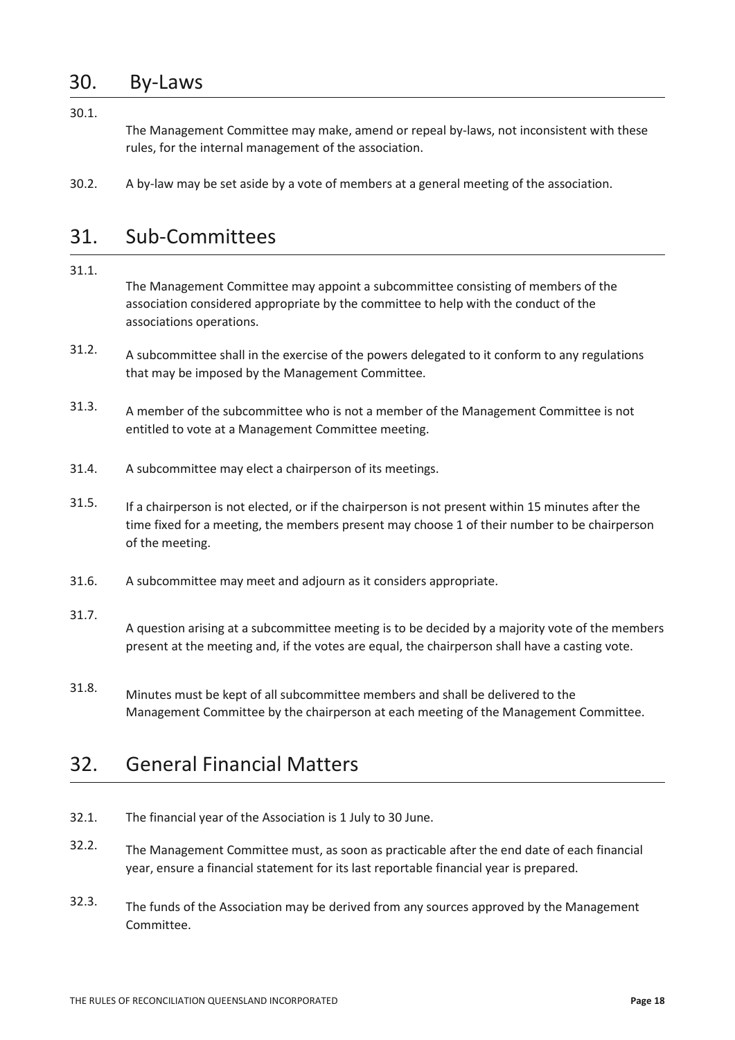### 30. By-Laws

30.1.

The Management Committee may make, amend or repeal by-laws, not inconsistent with these rules, for the internal management of the association.

30.2. A by-law may be set aside by a vote of members at a general meeting of the association.

### 31. Sub-Committees

#### 31.1.

The Management Committee may appoint a subcommittee consisting of members of the association considered appropriate by the committee to help with the conduct of the associations operations.

- 31.2. A subcommittee shall in the exercise of the powers delegated to it conform to any regulations that may be imposed by the Management Committee.
- 31.3. A member of the subcommittee who is not a member of the Management Committee is not entitled to vote at a Management Committee meeting.
- 31.4. A subcommittee may elect a chairperson of its meetings.
- 31.5. If a chairperson is not elected, or if the chairperson is not present within 15 minutes after the time fixed for a meeting, the members present may choose 1 of their number to be chairperson of the meeting.
- 31.6. A subcommittee may meet and adjourn as it considers appropriate.

#### 31.7.

A question arising at a subcommittee meeting is to be decided by a majority vote of the members present at the meeting and, if the votes are equal, the chairperson shall have a casting vote.

31.8. Minutes must be kept of all subcommittee members and shall be delivered to the Management Committee by the chairperson at each meeting of the Management Committee.

# 32. General Financial Matters

- 32.1. The financial year of the Association is 1 July to 30 June.
- 32.2. The Management Committee must, as soon as practicable after the end date of each financial year, ensure a financial statement for its last reportable financial year is prepared.
- 32.3. The funds of the Association may be derived from any sources approved by the Management Committee.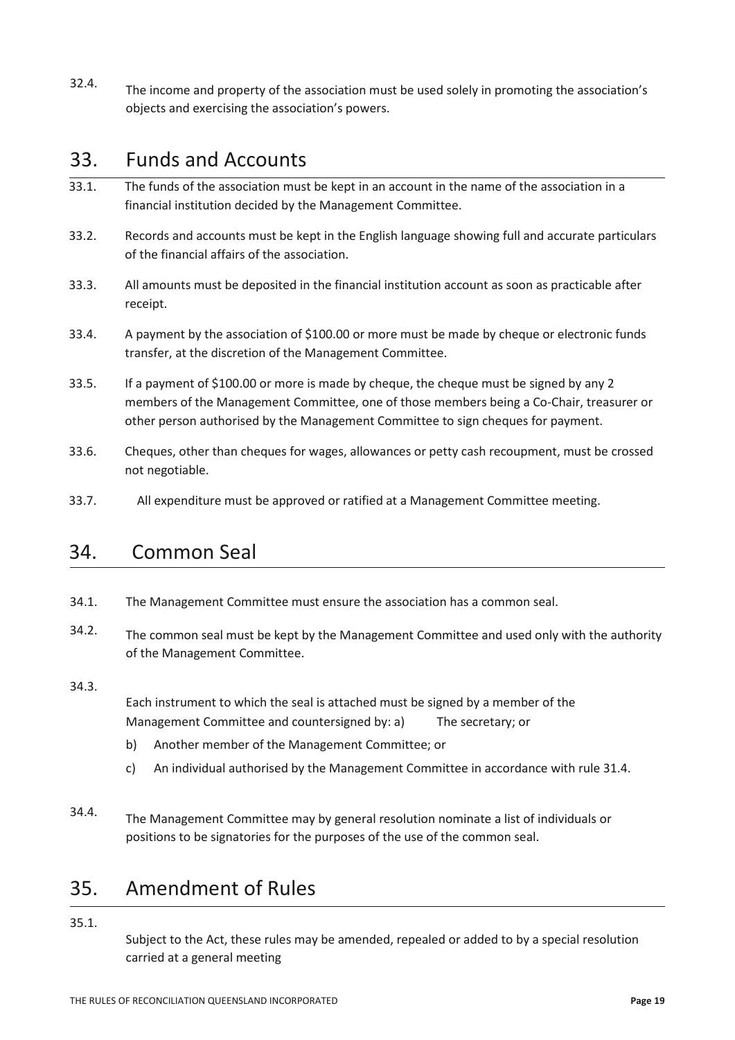32.4. The income and property of the association must be used solely in promoting the association's objects and exercising the association's powers.

### 33. Funds and Accounts

- 33.1. The funds of the association must be kept in an account in the name of the association in a financial institution decided by the Management Committee.
- 33.2. Records and accounts must be kept in the English language showing full and accurate particulars of the financial affairs of the association.
- 33.3. All amounts must be deposited in the financial institution account as soon as practicable after receipt.
- 33.4. A payment by the association of \$100.00 or more must be made by cheque or electronic funds transfer, at the discretion of the Management Committee.
- 33.5. If a payment of \$100.00 or more is made by cheque, the cheque must be signed by any 2 members of the Management Committee, one of those members being a Co-Chair, treasurer or other person authorised by the Management Committee to sign cheques for payment.
- 33.6. Cheques, other than cheques for wages, allowances or petty cash recoupment, must be crossed not negotiable.
- 33.7. All expenditure must be approved or ratified at a Management Committee meeting.

### 34. Common Seal

- 34.1. The Management Committee must ensure the association has a common seal.
- 34.2. The common seal must be kept by the Management Committee and used only with the authority of the Management Committee.

#### 34.3.

Each instrument to which the seal is attached must be signed by a member of the Management Committee and countersigned by: a) The secretary; or

- b) Another member of the Management Committee; or
- c) An individual authorised by the Management Committee in accordance with rule 31.4.
- 34.4. The Management Committee may by general resolution nominate a list of individuals or positions to be signatories for the purposes of the use of the common seal.

# 35. Amendment of Rules

35.1.

Subject to the Act, these rules may be amended, repealed or added to by a special resolution carried at a general meeting